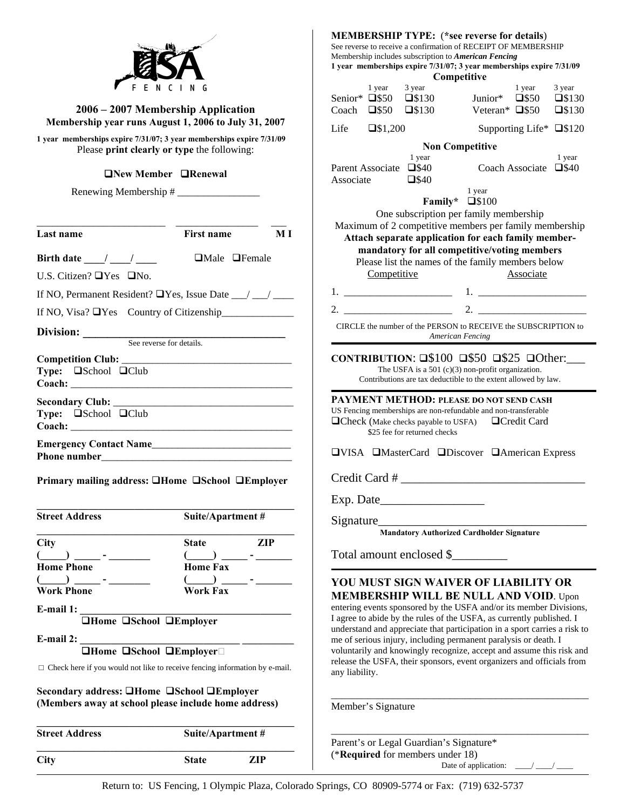|                                                                                                                     |                            |                                                                                                                                                                 | <b>MEMBERSHIP TYPE:</b> (*see reverse for details)<br>See reverse to receive a confirmation of RECEIPT OF MEMBERSHIP<br>Membership includes subscription to American Fencing<br>1 year memberships expire 7/31/07; 3 year memberships expire 7/31/09<br>Competitive |                        |                                                                                |                                                                                                                                                                                             |                                |                                    |
|---------------------------------------------------------------------------------------------------------------------|----------------------------|-----------------------------------------------------------------------------------------------------------------------------------------------------------------|---------------------------------------------------------------------------------------------------------------------------------------------------------------------------------------------------------------------------------------------------------------------|------------------------|--------------------------------------------------------------------------------|---------------------------------------------------------------------------------------------------------------------------------------------------------------------------------------------|--------------------------------|------------------------------------|
|                                                                                                                     |                            |                                                                                                                                                                 |                                                                                                                                                                                                                                                                     | 1 year                 | 3 year                                                                         |                                                                                                                                                                                             | 1 year                         | 3 year                             |
| 2006 - 2007 Membership Application                                                                                  |                            |                                                                                                                                                                 |                                                                                                                                                                                                                                                                     |                        | Senior* $\square$ \$50 $\square$ \$130<br>Coach $\square$ \$50 $\square$ \$130 | Junior* □\$50<br>Veteran* $\square$ \$50                                                                                                                                                    |                                | $\square$ \$130<br>$\square$ \$130 |
| Membership year runs August 1, 2006 to July 31, 2007                                                                |                            |                                                                                                                                                                 | Life                                                                                                                                                                                                                                                                | $\square$ \$1,200      |                                                                                |                                                                                                                                                                                             | Supporting Life* □\$120        |                                    |
| 1 year memberships expire 7/31/07; 3 year memberships expire 7/31/09<br>Please print clearly or type the following: |                            |                                                                                                                                                                 |                                                                                                                                                                                                                                                                     |                        | 1 year                                                                         | <b>Non Competitive</b>                                                                                                                                                                      |                                | 1 year                             |
| <b>ONew Member ORenewal</b>                                                                                         |                            |                                                                                                                                                                 | Associate                                                                                                                                                                                                                                                           | Parent Associate □\$40 | $\square$ \$40                                                                 |                                                                                                                                                                                             | Coach Associate $\square$ \$40 |                                    |
| Renewing Membership #                                                                                               |                            |                                                                                                                                                                 |                                                                                                                                                                                                                                                                     |                        |                                                                                | 1 year<br>Family* $\square$ \$100                                                                                                                                                           |                                |                                    |
|                                                                                                                     |                            |                                                                                                                                                                 |                                                                                                                                                                                                                                                                     |                        |                                                                                | One subscription per family membership<br>Maximum of 2 competitive members per family membership                                                                                            |                                |                                    |
| Last name                                                                                                           | First name                 | $\bf{M}$ $\bf{I}$                                                                                                                                               |                                                                                                                                                                                                                                                                     |                        |                                                                                | Attach separate application for each family member-                                                                                                                                         |                                |                                    |
| Birth date $\frac{1}{\sqrt{2}}$                                                                                     | $\Box$ Male $\Box$ Female  |                                                                                                                                                                 |                                                                                                                                                                                                                                                                     |                        |                                                                                | mandatory for all competitive/voting members                                                                                                                                                |                                |                                    |
| U.S. Citizen? $\Box$ Yes $\Box$ No.                                                                                 |                            |                                                                                                                                                                 |                                                                                                                                                                                                                                                                     | Competitive            |                                                                                | Please list the names of the family members below                                                                                                                                           | Associate                      |                                    |
| If NO, Permanent Resident? $\Box$ Yes, Issue Date __/ __/ ___                                                       |                            |                                                                                                                                                                 |                                                                                                                                                                                                                                                                     |                        |                                                                                |                                                                                                                                                                                             |                                |                                    |
|                                                                                                                     |                            |                                                                                                                                                                 |                                                                                                                                                                                                                                                                     |                        |                                                                                |                                                                                                                                                                                             |                                |                                    |
| If NO, Visa? $\Box$ Yes Country of Citizenship                                                                      |                            |                                                                                                                                                                 |                                                                                                                                                                                                                                                                     |                        |                                                                                | CIRCLE the number of the PERSON to RECEIVE the SUBSCRIPTION to                                                                                                                              |                                |                                    |
| Division: See reverse for details.                                                                                  |                            |                                                                                                                                                                 |                                                                                                                                                                                                                                                                     |                        | American Fencing                                                               |                                                                                                                                                                                             |                                |                                    |
|                                                                                                                     |                            |                                                                                                                                                                 |                                                                                                                                                                                                                                                                     |                        |                                                                                | CONTRIBUTION: $\square$100$ $\square$50$ $\square$25$ $\square$ Other:                                                                                                                      |                                |                                    |
| Type: <b>a</b> School <b>a</b> Club                                                                                 |                            |                                                                                                                                                                 |                                                                                                                                                                                                                                                                     |                        |                                                                                | The USFA is a 501 $(c)(3)$ non-profit organization.<br>Contributions are tax deductible to the extent allowed by law.                                                                       |                                |                                    |
| <b>Type:</b> $\square$ School $\square$ Club<br>Emergency Contact Name                                              |                            |                                                                                                                                                                 |                                                                                                                                                                                                                                                                     |                        | $\Box$ Check (Make checks payable to USFA)<br>\$25 fee for returned checks     | PAYMENT METHOD: PLEASE DO NOT SEND CASH<br>US Fencing memberships are non-refundable and non-transferable                                                                                   | □Credit Card                   |                                    |
|                                                                                                                     |                            |                                                                                                                                                                 |                                                                                                                                                                                                                                                                     |                        |                                                                                | <b>OVISA OMasterCard ODiscover OAmerican Express</b>                                                                                                                                        |                                |                                    |
| Primary mailing address: <b>QHome QSchool QEmployer</b>                                                             |                            |                                                                                                                                                                 |                                                                                                                                                                                                                                                                     |                        |                                                                                | Credit Card #                                                                                                                                                                               |                                |                                    |
| <b>Street Address</b>                                                                                               | Suite/Apartment#           |                                                                                                                                                                 |                                                                                                                                                                                                                                                                     |                        |                                                                                |                                                                                                                                                                                             |                                |                                    |
|                                                                                                                     |                            |                                                                                                                                                                 |                                                                                                                                                                                                                                                                     |                        |                                                                                | <b>Mandatory Authorized Cardholder Signature</b>                                                                                                                                            |                                |                                    |
| <b>City</b>                                                                                                         | <b>State</b>               | <b>ZIP</b>                                                                                                                                                      |                                                                                                                                                                                                                                                                     |                        |                                                                                | Total amount enclosed \$                                                                                                                                                                    |                                |                                    |
| <b>Home Phone</b>                                                                                                   | <b>Home Fax</b>            |                                                                                                                                                                 |                                                                                                                                                                                                                                                                     |                        |                                                                                |                                                                                                                                                                                             |                                |                                    |
| $\overline{\phantom{a}}$<br><b>Work Phone</b>                                                                       | $($ $)$<br><b>Work Fax</b> |                                                                                                                                                                 |                                                                                                                                                                                                                                                                     |                        |                                                                                | YOU MUST SIGN WAIVER OF LIABILITY OR                                                                                                                                                        |                                |                                    |
| E-mail 1:<br><b>THome School SEmployer</b>                                                                          |                            |                                                                                                                                                                 |                                                                                                                                                                                                                                                                     |                        |                                                                                | <b>MEMBERSHIP WILL BE NULL AND VOID. Upon</b><br>entering events sponsored by the USFA and/or its member Divisions,<br>I agree to abide by the rules of the USFA, as currently published. I |                                |                                    |
|                                                                                                                     |                            |                                                                                                                                                                 |                                                                                                                                                                                                                                                                     |                        |                                                                                | understand and appreciate that participation in a sport carries a risk to                                                                                                                   |                                |                                    |
| E-mail 2: $\frac{1}{\Box$ Home $\Box$ School $\Box$ Employer $\Box$                                                 |                            |                                                                                                                                                                 |                                                                                                                                                                                                                                                                     |                        |                                                                                | me of serious injury, including permanent paralysis or death. I                                                                                                                             |                                |                                    |
| $\Box$ Check here if you would not like to receive fencing information by e-mail.                                   |                            | voluntarily and knowingly recognize, accept and assume this risk and<br>release the USFA, their sponsors, event organizers and officials from<br>any liability. |                                                                                                                                                                                                                                                                     |                        |                                                                                |                                                                                                                                                                                             |                                |                                    |
| Secondary address: <b>QHome QSchool QEmployer</b><br>(Members away at school please include home address)           |                            |                                                                                                                                                                 |                                                                                                                                                                                                                                                                     | Member's Signature     |                                                                                |                                                                                                                                                                                             |                                |                                    |
| <b>Street Address</b>                                                                                               | Suite/Apartment#           |                                                                                                                                                                 |                                                                                                                                                                                                                                                                     |                        | Parent's or Legal Guardian's Signature*                                        |                                                                                                                                                                                             |                                |                                    |
|                                                                                                                     |                            |                                                                                                                                                                 |                                                                                                                                                                                                                                                                     |                        | (*Required for members under 18)                                               |                                                                                                                                                                                             |                                |                                    |
| <b>City</b>                                                                                                         | <b>State</b><br><b>ZIP</b> |                                                                                                                                                                 |                                                                                                                                                                                                                                                                     |                        |                                                                                | Date of application: $\frac{1}{\sqrt{1-\frac{1}{2}}}$                                                                                                                                       |                                |                                    |

Return to: US Fencing, 1 Olympic Plaza, Colorado Springs, CO 80909-5774 or Fax: (719) 632-5737